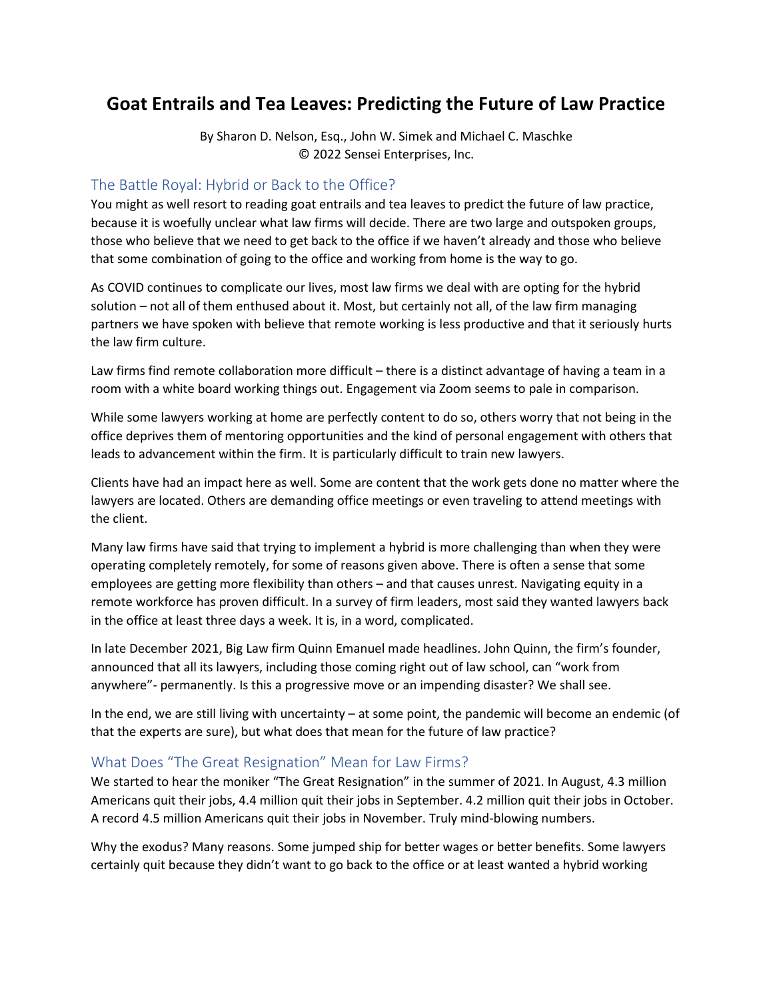# **Goat Entrails and Tea Leaves: Predicting the Future of Law Practice**

By Sharon D. Nelson, Esq., John W. Simek and Michael C. Maschke © 2022 Sensei Enterprises, Inc.

#### The Battle Royal: Hybrid or Back to the Office?

You might as well resort to reading goat entrails and tea leaves to predict the future of law practice, because it is woefully unclear what law firms will decide. There are two large and outspoken groups, those who believe that we need to get back to the office if we haven't already and those who believe that some combination of going to the office and working from home is the way to go.

As COVID continues to complicate our lives, most law firms we deal with are opting for the hybrid solution – not all of them enthused about it. Most, but certainly not all, of the law firm managing partners we have spoken with believe that remote working is less productive and that it seriously hurts the law firm culture.

Law firms find remote collaboration more difficult - there is a distinct advantage of having a team in a room with a white board working things out. Engagement via Zoom seems to pale in comparison.

While some lawyers working at home are perfectly content to do so, others worry that not being in the office deprives them of mentoring opportunities and the kind of personal engagement with others that leads to advancement within the firm. It is particularly difficult to train new lawyers.

Clients have had an impact here as well. Some are content that the work gets done no matter where the lawyers are located. Others are demanding office meetings or even traveling to attend meetings with the client.

Many law firms have said that trying to implement a hybrid is more challenging than when they were operating completely remotely, for some of reasons given above. There is often a sense that some employees are getting more flexibility than others – and that causes unrest. Navigating equity in a remote workforce has proven difficult. In a survey of firm leaders, most said they wanted lawyers back in the office at least three days a week. It is, in a word, complicated.

In late December 2021, Big Law firm Quinn Emanuel made headlines. John Quinn, the firm's founder, announced that all its lawyers, including those coming right out of law school, can "work from anywhere"- permanently. Is this a progressive move or an impending disaster? We shall see.

In the end, we are still living with uncertainty – at some point, the pandemic will become an endemic (of that the experts are sure), but what does that mean for the future of law practice?

#### What Does "The Great Resignation" Mean for Law Firms?

We started to hear the moniker "The Great Resignation" in the summer of 2021. In August, 4.3 million Americans quit their jobs, 4.4 million quit their jobs in September. 4.2 million quit their jobs in October. A record 4.5 million Americans quit their jobs in November. Truly mind-blowing numbers.

Why the exodus? Many reasons. Some jumped ship for better wages or better benefits. Some lawyers certainly quit because they didn't want to go back to the office or at least wanted a hybrid working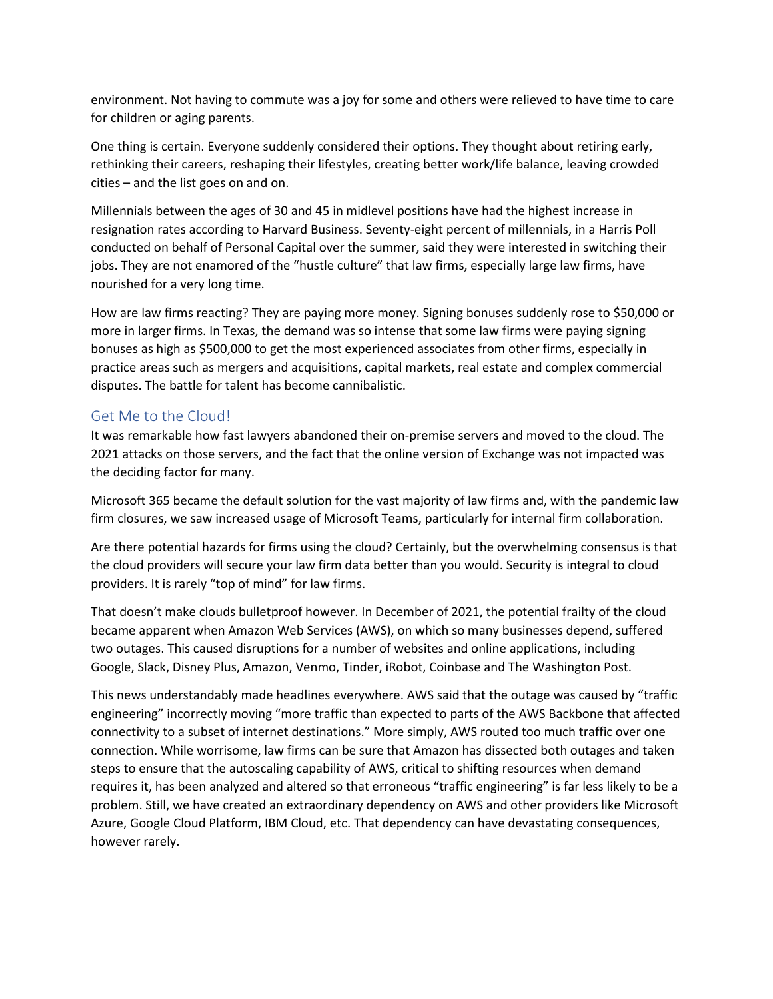environment. Not having to commute was a joy for some and others were relieved to have time to care for children or aging parents.

One thing is certain. Everyone suddenly considered their options. They thought about retiring early, rethinking their careers, reshaping their lifestyles, creating better work/life balance, leaving crowded cities – and the list goes on and on.

Millennials between the ages of 30 and 45 in midlevel positions have had the highest increase in resignation rates according to Harvard Business. Seventy-eight percent of millennials, in a Harris Poll conducted on behalf of Personal Capital over the summer, said they were interested in switching their jobs. They are not enamored of the "hustle culture" that law firms, especially large law firms, have nourished for a very long time.

How are law firms reacting? They are paying more money. Signing bonuses suddenly rose to \$50,000 or more in larger firms. In Texas, the demand was so intense that some law firms were paying signing bonuses as high as \$500,000 to get the most experienced associates from other firms, especially in practice areas such as mergers and acquisitions, capital markets, real estate and complex commercial disputes. The battle for talent has become cannibalistic.

#### Get Me to the Cloud!

It was remarkable how fast lawyers abandoned their on-premise servers and moved to the cloud. The 2021 attacks on those servers, and the fact that the online version of Exchange was not impacted was the deciding factor for many.

Microsoft 365 became the default solution for the vast majority of law firms and, with the pandemic law firm closures, we saw increased usage of Microsoft Teams, particularly for internal firm collaboration.

Are there potential hazards for firms using the cloud? Certainly, but the overwhelming consensus is that the cloud providers will secure your law firm data better than you would. Security is integral to cloud providers. It is rarely "top of mind" for law firms.

That doesn't make clouds bulletproof however. In December of 2021, the potential frailty of the cloud became apparent when Amazon Web Services (AWS), on which so many businesses depend, suffered two outages. This caused disruptions for a number of websites and online applications, including Google, Slack, Disney Plus, Amazon, Venmo, Tinder, iRobot, Coinbase and The Washington Post.

This news understandably made headlines everywhere. AWS said that the outage was caused by "traffic engineering" incorrectly moving "more traffic than expected to parts of the AWS Backbone that affected connectivity to a subset of internet destinations." More simply, AWS routed too much traffic over one connection. While worrisome, law firms can be sure that Amazon has dissected both outages and taken steps to ensure that the autoscaling capability of AWS, critical to shifting resources when demand requires it, has been analyzed and altered so that erroneous "traffic engineering" is far less likely to be a problem. Still, we have created an extraordinary dependency on AWS and other providers like Microsoft Azure, Google Cloud Platform, IBM Cloud, etc. That dependency can have devastating consequences, however rarely.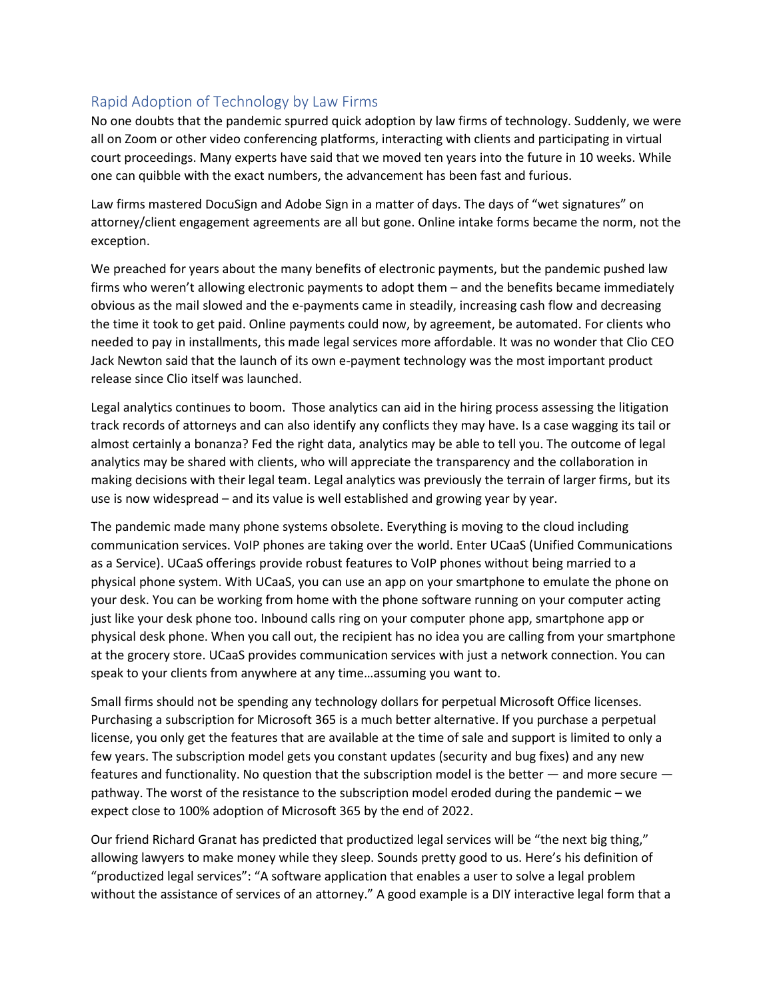# Rapid Adoption of Technology by Law Firms

No one doubts that the pandemic spurred quick adoption by law firms of technology. Suddenly, we were all on Zoom or other video conferencing platforms, interacting with clients and participating in virtual court proceedings. Many experts have said that we moved ten years into the future in 10 weeks. While one can quibble with the exact numbers, the advancement has been fast and furious.

Law firms mastered DocuSign and Adobe Sign in a matter of days. The days of "wet signatures" on attorney/client engagement agreements are all but gone. Online intake forms became the norm, not the exception.

We preached for years about the many benefits of electronic payments, but the pandemic pushed law firms who weren't allowing electronic payments to adopt them – and the benefits became immediately obvious as the mail slowed and the e-payments came in steadily, increasing cash flow and decreasing the time it took to get paid. Online payments could now, by agreement, be automated. For clients who needed to pay in installments, this made legal services more affordable. It was no wonder that Clio CEO Jack Newton said that the launch of its own e-payment technology was the most important product release since Clio itself was launched.

Legal analytics continues to boom. Those analytics can aid in the hiring process assessing the litigation track records of attorneys and can also identify any conflicts they may have. Is a case wagging its tail or almost certainly a bonanza? Fed the right data, analytics may be able to tell you. The outcome of legal analytics may be shared with clients, who will appreciate the transparency and the collaboration in making decisions with their legal team. Legal analytics was previously the terrain of larger firms, but its use is now widespread – and its value is well established and growing year by year.

The pandemic made many phone systems obsolete. Everything is moving to the cloud including communication services. VoIP phones are taking over the world. Enter UCaaS (Unified Communications as a Service). UCaaS offerings provide robust features to VoIP phones without being married to a physical phone system. With UCaaS, you can use an app on your smartphone to emulate the phone on your desk. You can be working from home with the phone software running on your computer acting just like your desk phone too. Inbound calls ring on your computer phone app, smartphone app or physical desk phone. When you call out, the recipient has no idea you are calling from your smartphone at the grocery store. UCaaS provides communication services with just a network connection. You can speak to your clients from anywhere at any time…assuming you want to.

Small firms should not be spending any technology dollars for perpetual Microsoft Office licenses. Purchasing a subscription for Microsoft 365 is a much better alternative. If you purchase a perpetual license, you only get the features that are available at the time of sale and support is limited to only a few years. The subscription model gets you constant updates (security and bug fixes) and any new features and functionality. No question that the subscription model is the better — and more secure pathway. The worst of the resistance to the subscription model eroded during the pandemic – we expect close to 100% adoption of Microsoft 365 by the end of 2022.

Our friend Richard Granat has predicted that productized legal services will be "the next big thing," allowing lawyers to make money while they sleep. Sounds pretty good to us. Here's his definition of "productized legal services": "A software application that enables a user to solve a legal problem without the assistance of services of an attorney." A good example is a DIY interactive legal form that a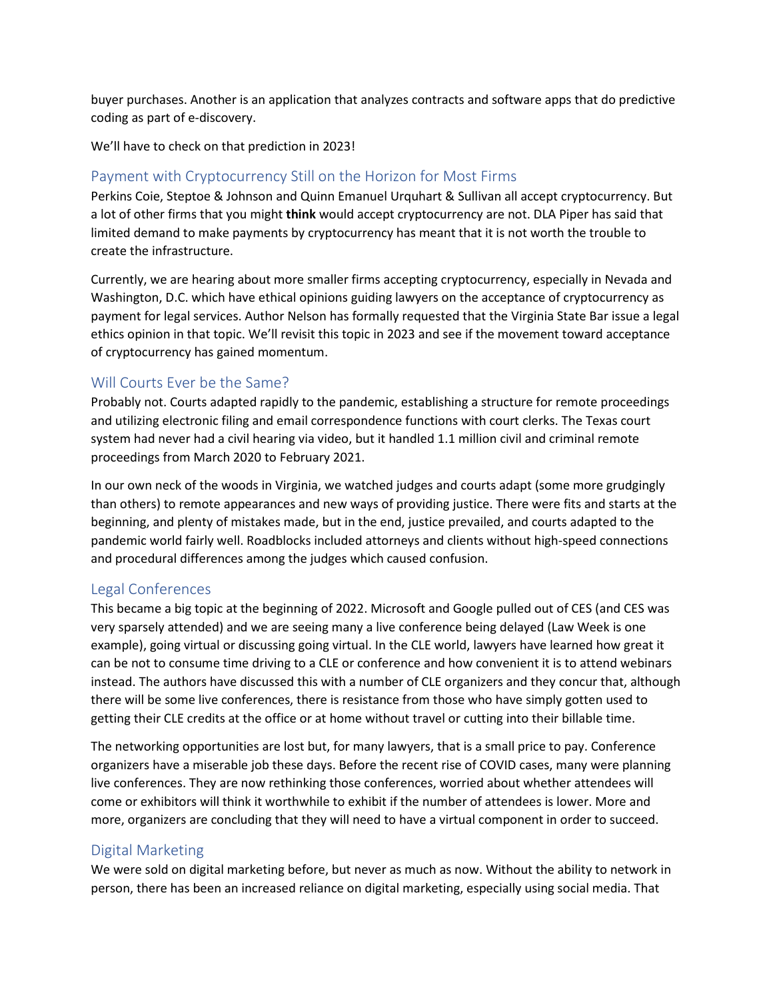buyer purchases. Another is an application that analyzes contracts and software apps that do predictive coding as part of e-discovery.

We'll have to check on that prediction in 2023!

# Payment with Cryptocurrency Still on the Horizon for Most Firms

Perkins Coie, Steptoe & Johnson and Quinn Emanuel Urquhart & Sullivan all accept cryptocurrency. But a lot of other firms that you might **think** would accept cryptocurrency are not. DLA Piper has said that limited demand to make payments by cryptocurrency has meant that it is not worth the trouble to create the infrastructure.

Currently, we are hearing about more smaller firms accepting cryptocurrency, especially in Nevada and Washington, D.C. which have ethical opinions guiding lawyers on the acceptance of cryptocurrency as payment for legal services. Author Nelson has formally requested that the Virginia State Bar issue a legal ethics opinion in that topic. We'll revisit this topic in 2023 and see if the movement toward acceptance of cryptocurrency has gained momentum.

## Will Courts Ever be the Same?

Probably not. Courts adapted rapidly to the pandemic, establishing a structure for remote proceedings and utilizing electronic filing and email correspondence functions with court clerks. The Texas court system had never had a civil hearing via video, but it handled 1.1 million civil and criminal remote proceedings from March 2020 to February 2021.

In our own neck of the woods in Virginia, we watched judges and courts adapt (some more grudgingly than others) to remote appearances and new ways of providing justice. There were fits and starts at the beginning, and plenty of mistakes made, but in the end, justice prevailed, and courts adapted to the pandemic world fairly well. Roadblocks included attorneys and clients without high-speed connections and procedural differences among the judges which caused confusion.

## Legal Conferences

This became a big topic at the beginning of 2022. Microsoft and Google pulled out of CES (and CES was very sparsely attended) and we are seeing many a live conference being delayed (Law Week is one example), going virtual or discussing going virtual. In the CLE world, lawyers have learned how great it can be not to consume time driving to a CLE or conference and how convenient it is to attend webinars instead. The authors have discussed this with a number of CLE organizers and they concur that, although there will be some live conferences, there is resistance from those who have simply gotten used to getting their CLE credits at the office or at home without travel or cutting into their billable time.

The networking opportunities are lost but, for many lawyers, that is a small price to pay. Conference organizers have a miserable job these days. Before the recent rise of COVID cases, many were planning live conferences. They are now rethinking those conferences, worried about whether attendees will come or exhibitors will think it worthwhile to exhibit if the number of attendees is lower. More and more, organizers are concluding that they will need to have a virtual component in order to succeed.

## Digital Marketing

We were sold on digital marketing before, but never as much as now. Without the ability to network in person, there has been an increased reliance on digital marketing, especially using social media. That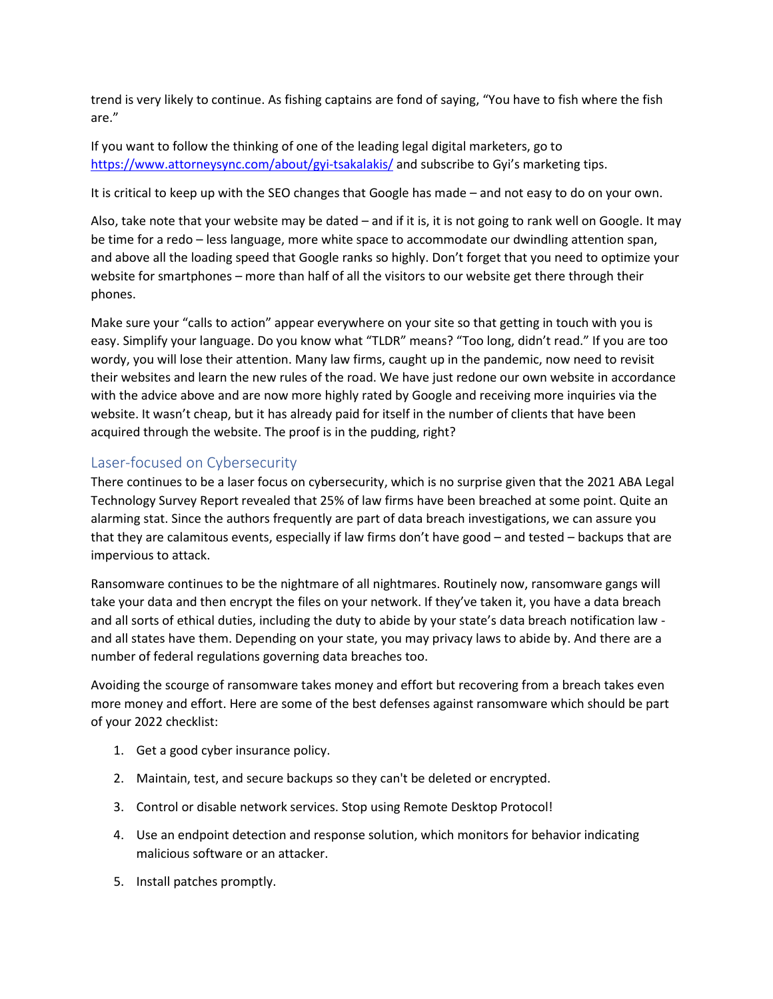trend is very likely to continue. As fishing captains are fond of saying, "You have to fish where the fish are."

If you want to follow the thinking of one of the leading legal digital marketers, go to <https://www.attorneysync.com/about/gyi-tsakalakis/> and subscribe to Gyi's marketing tips.

It is critical to keep up with the SEO changes that Google has made – and not easy to do on your own.

Also, take note that your website may be dated – and if it is, it is not going to rank well on Google. It may be time for a redo – less language, more white space to accommodate our dwindling attention span, and above all the loading speed that Google ranks so highly. Don't forget that you need to optimize your website for smartphones – more than half of all the visitors to our website get there through their phones.

Make sure your "calls to action" appear everywhere on your site so that getting in touch with you is easy. Simplify your language. Do you know what "TLDR" means? "Too long, didn't read." If you are too wordy, you will lose their attention. Many law firms, caught up in the pandemic, now need to revisit their websites and learn the new rules of the road. We have just redone our own website in accordance with the advice above and are now more highly rated by Google and receiving more inquiries via the website. It wasn't cheap, but it has already paid for itself in the number of clients that have been acquired through the website. The proof is in the pudding, right?

## Laser-focused on Cybersecurity

There continues to be a laser focus on cybersecurity, which is no surprise given that the 2021 ABA Legal Technology Survey Report revealed that 25% of law firms have been breached at some point. Quite an alarming stat. Since the authors frequently are part of data breach investigations, we can assure you that they are calamitous events, especially if law firms don't have good – and tested – backups that are impervious to attack.

Ransomware continues to be the nightmare of all nightmares. Routinely now, ransomware gangs will take your data and then encrypt the files on your network. If they've taken it, you have a data breach and all sorts of ethical duties, including the duty to abide by your state's data breach notification law and all states have them. Depending on your state, you may privacy laws to abide by. And there are a number of federal regulations governing data breaches too.

Avoiding the scourge of ransomware takes money and effort but recovering from a breach takes even more money and effort. Here are some of the best defenses against ransomware which should be part of your 2022 checklist:

- 1. Get a good cyber insurance policy.
- 2. Maintain, test, and secure backups so they can't be deleted or encrypted.
- 3. Control or disable network services. Stop using Remote Desktop Protocol!
- 4. Use an endpoint detection and response solution, which monitors for behavior indicating malicious software or an attacker.
- 5. Install patches promptly.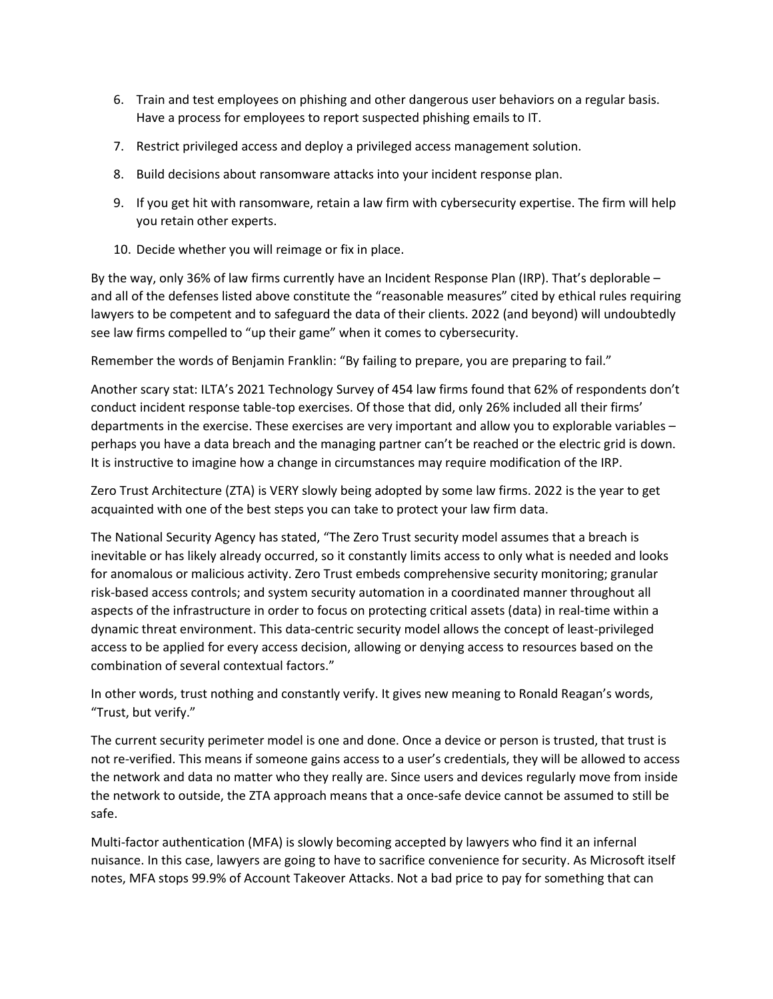- 6. Train and test employees on phishing and other dangerous user behaviors on a regular basis. Have a process for employees to report suspected phishing emails to IT.
- 7. Restrict privileged access and deploy a privileged access management solution.
- 8. Build decisions about ransomware attacks into your incident response plan.
- 9. If you get hit with ransomware, retain a law firm with cybersecurity expertise. The firm will help you retain other experts.
- 10. Decide whether you will reimage or fix in place.

By the way, only 36% of law firms currently have an Incident Response Plan (IRP). That's deplorable – and all of the defenses listed above constitute the "reasonable measures" cited by ethical rules requiring lawyers to be competent and to safeguard the data of their clients. 2022 (and beyond) will undoubtedly see law firms compelled to "up their game" when it comes to cybersecurity.

Remember the words of Benjamin Franklin: "By failing to prepare, you are preparing to fail."

Another scary stat: ILTA's 2021 Technology Survey of 454 law firms found that 62% of respondents don't conduct incident response table-top exercises. Of those that did, only 26% included all their firms' departments in the exercise. These exercises are very important and allow you to explorable variables – perhaps you have a data breach and the managing partner can't be reached or the electric grid is down. It is instructive to imagine how a change in circumstances may require modification of the IRP.

Zero Trust Architecture (ZTA) is VERY slowly being adopted by some law firms. 2022 is the year to get acquainted with one of the best steps you can take to protect your law firm data.

The National Security Agency has stated, "The Zero Trust security model assumes that a breach is inevitable or has likely already occurred, so it constantly limits access to only what is needed and looks for anomalous or malicious activity. Zero Trust embeds comprehensive security monitoring; granular risk-based access controls; and system security automation in a coordinated manner throughout all aspects of the infrastructure in order to focus on protecting critical assets (data) in real-time within a dynamic threat environment. This data-centric security model allows the concept of least-privileged access to be applied for every access decision, allowing or denying access to resources based on the combination of several contextual factors."

In other words, trust nothing and constantly verify. It gives new meaning to Ronald Reagan's words, "Trust, but verify."

The current security perimeter model is one and done. Once a device or person is trusted, that trust is not re-verified. This means if someone gains access to a user's credentials, they will be allowed to access the network and data no matter who they really are. Since users and devices regularly move from inside the network to outside, the ZTA approach means that a once-safe device cannot be assumed to still be safe.

Multi-factor authentication (MFA) is slowly becoming accepted by lawyers who find it an infernal nuisance. In this case, lawyers are going to have to sacrifice convenience for security. As Microsoft itself notes, MFA stops 99.9% of Account Takeover Attacks. Not a bad price to pay for something that can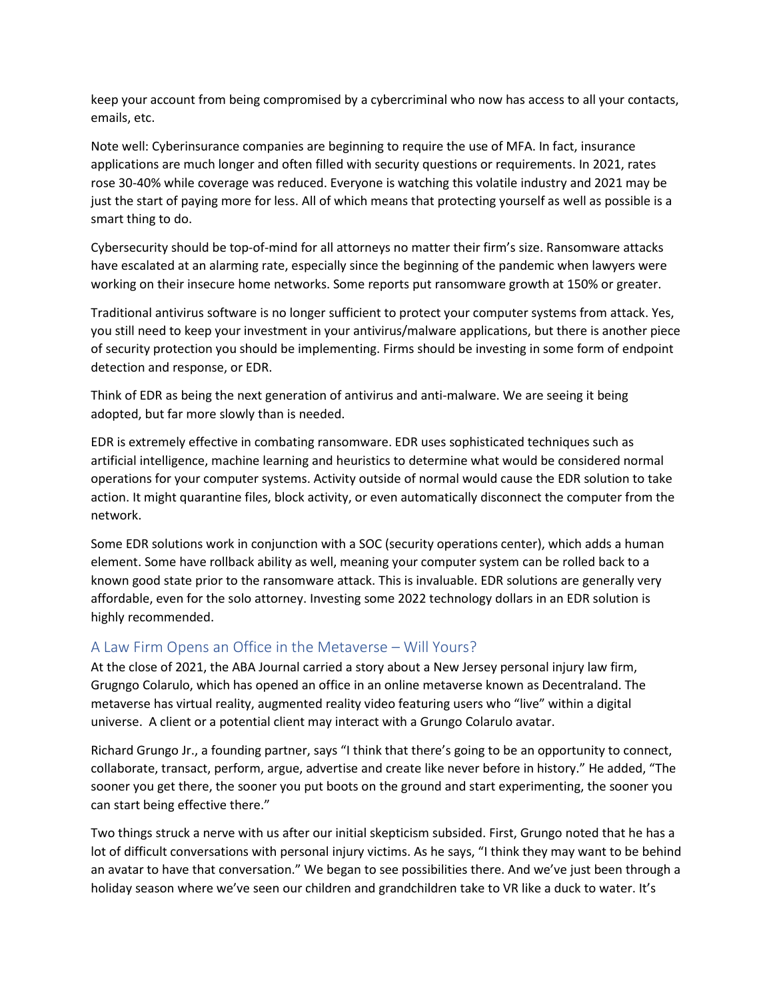keep your account from being compromised by a cybercriminal who now has access to all your contacts, emails, etc.

Note well: Cyberinsurance companies are beginning to require the use of MFA. In fact, insurance applications are much longer and often filled with security questions or requirements. In 2021, rates rose 30-40% while coverage was reduced. Everyone is watching this volatile industry and 2021 may be just the start of paying more for less. All of which means that protecting yourself as well as possible is a smart thing to do.

Cybersecurity should be top-of-mind for all attorneys no matter their firm's size. Ransomware attacks have escalated at an alarming rate, especially since the beginning of the pandemic when lawyers were working on their insecure home networks. Some reports put ransomware growth at 150% or greater.

Traditional antivirus software is no longer sufficient to protect your computer systems from attack. Yes, you still need to keep your investment in your antivirus/malware applications, but there is another piece of security protection you should be implementing. Firms should be investing in some form of endpoint detection and response, or EDR.

Think of EDR as being the next generation of antivirus and anti-malware. We are seeing it being adopted, but far more slowly than is needed.

EDR is extremely effective in combating ransomware. EDR uses sophisticated techniques such as artificial intelligence, machine learning and heuristics to determine what would be considered normal operations for your computer systems. Activity outside of normal would cause the EDR solution to take action. It might quarantine files, block activity, or even automatically disconnect the computer from the network.

Some EDR solutions work in conjunction with a SOC (security operations center), which adds a human element. Some have rollback ability as well, meaning your computer system can be rolled back to a known good state prior to the ransomware attack. This is invaluable. EDR solutions are generally very affordable, even for the solo attorney. Investing some 2022 technology dollars in an EDR solution is highly recommended.

## A Law Firm Opens an Office in the Metaverse – Will Yours?

At the close of 2021, the ABA Journal carried a story about a New Jersey personal injury law firm, Grugngo Colarulo, which has opened an office in an online metaverse known as Decentraland. The metaverse has virtual reality, augmented reality video featuring users who "live" within a digital universe. A client or a potential client may interact with a Grungo Colarulo avatar.

Richard Grungo Jr., a founding partner, says "I think that there's going to be an opportunity to connect, collaborate, transact, perform, argue, advertise and create like never before in history." He added, "The sooner you get there, the sooner you put boots on the ground and start experimenting, the sooner you can start being effective there."

Two things struck a nerve with us after our initial skepticism subsided. First, Grungo noted that he has a lot of difficult conversations with personal injury victims. As he says, "I think they may want to be behind an avatar to have that conversation." We began to see possibilities there. And we've just been through a holiday season where we've seen our children and grandchildren take to VR like a duck to water. It's